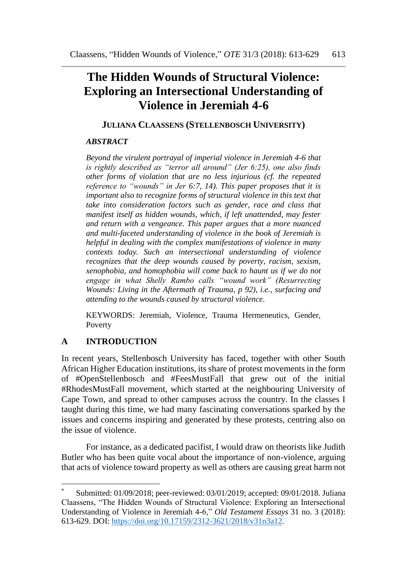# **The Hidden Wounds of Structural Violence: Exploring an Intersectional Understanding of Violence in Jeremiah 4-6**

### **JULIANA CLAASSENS (STELLENBOSCH UNIVERSITY)**

#### *ABSTRACT\**

*Beyond the virulent portrayal of imperial violence in Jeremiah 4-6 that is rightly described as "terror all around" (Jer 6:25), one also finds other forms of violation that are no less injurious (cf. the repeated reference to "wounds" in Jer 6:7, 14). This paper proposes that it is important also to recognize forms of structural violence in this text that take into consideration factors such as gender, race and class that manifest itself as hidden wounds, which, if left unattended, may fester and return with a vengeance. This paper argues that a more nuanced and multi-faceted understanding of violence in the book of Jeremiah is helpful in dealing with the complex manifestations of violence in many contexts today. Such an intersectional understanding of violence recognizes that the deep wounds caused by poverty, racism, sexism, xenophobia, and homophobia will come back to haunt us if we do not engage in what Shelly Rambo calls "wound work" (Resurrecting Wounds: Living in the Aftermath of Trauma, p 92), i.e., surfacing and attending to the wounds caused by structural violence.*

KEYWORDS: Jeremiah, Violence, Trauma Hermeneutics, Gender, Poverty

## **A INTRODUCTION**

 $\overline{a}$ 

In recent years, Stellenbosch University has faced, together with other South African Higher Education institutions, its share of protest movements in the form of #OpenStellenbosch and #FeesMustFall that grew out of the initial #RhodesMustFall movement, which started at the neighbouring University of Cape Town, and spread to other campuses across the country. In the classes I taught during this time, we had many fascinating conversations sparked by the issues and concerns inspiring and generated by these protests, centring also on the issue of violence.

For instance, as a dedicated pacifist, I would draw on theorists like Judith Butler who has been quite vocal about the importance of non-violence, arguing that acts of violence toward property as well as others are causing great harm not

Submitted: 01/09/2018; peer-reviewed: 03/01/2019; accepted: 09/01/2018. Juliana Claassens, "The Hidden Wounds of Structural Violence: Exploring an Intersectional Understanding of Violence in Jeremiah 4-6," *Old Testament Essays* 31 no. 3 (2018): 613-629. DOI: [https://doi.org/10.17159/2312-3621/2018/v31n3a12.](https://doi.org/10.17159/2312-3621/2018/v31n3a12)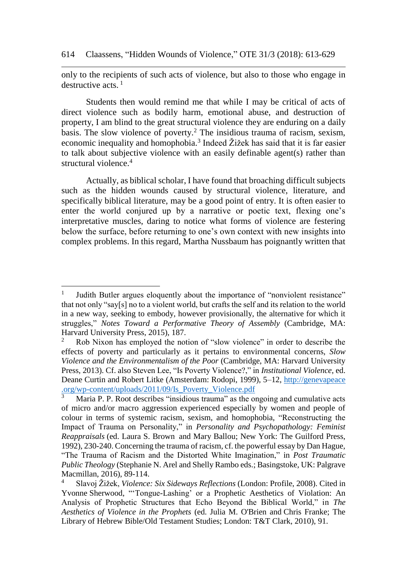#### 614 Claassens, "Hidden Wounds of Violence," OTE 31/3 (2018): 613-629

only to the recipients of such acts of violence, but also to those who engage in destructive acts. $<sup>1</sup>$ </sup>

Students then would remind me that while I may be critical of acts of direct violence such as bodily harm, emotional abuse, and destruction of property, I am blind to the great structural violence they are enduring on a daily basis. The slow violence of poverty.<sup>2</sup> The insidious trauma of racism, sexism, economic inequality and homophobia.<sup>3</sup> Indeed  $\check{Z}$ ižek has said that it is far easier to talk about subjective violence with an easily definable agent(s) rather than structural violence.<sup>4</sup>

Actually, as biblical scholar, I have found that broaching difficult subjects such as the hidden wounds caused by structural violence, literature, and specifically biblical literature, may be a good point of entry. It is often easier to enter the world conjured up by a narrative or poetic text, flexing one's interpretative muscles, daring to notice what forms of violence are festering below the surface, before returning to one's own context with new insights into complex problems. In this regard, Martha Nussbaum has poignantly written that

<sup>1</sup> Judith Butler argues eloquently about the importance of "nonviolent resistance" that not only "say[s] no to a violent world, but crafts the self and its relation to the world in a new way, seeking to embody, however provisionally, the alternative for which it struggles," *Notes Toward a Performative Theory of Assembly* (Cambridge, MA: Harvard University Press, 2015), 187.<br> $\frac{2}{5}$ . Rob Nixon has employed the not

<sup>2</sup> Rob Nixon has employed the notion of "slow violence" in order to describe the effects of poverty and particularly as it pertains to environmental concerns, *Slow Violence and the Environmentalism of the Poor* (Cambridge, MA: Harvard University Press, 2013). Cf. also Steven Lee, "Is Poverty Violence?," in *Institutional Violence*, ed. Deane Curtin and Robert Litke (Amsterdam: Rodopi, 1999), 5–12, http://genevapeace .org/wp-content/uploads/2011/09/Is\_Poverty\_Violence.pdf<br>
Maria **D D Doot deal** is a content of the content of the content of the content of the content of the content of the content of the content of the D **D D D**

<sup>3</sup> Maria P. P. Root describes "insidious trauma" as the ongoing and cumulative acts of micro and/or macro aggression experienced especially by women and people of colour in terms of systemic racism, sexism, and homophobia, "Reconstructing the Impact of Trauma on Personality," in *Personality and Psychopathology: Feminist Reappraisals* (ed. [Laura S. Brown](https://www.amazon.com/Laura-S.-Brown/e/B000AQ26YW/ref=dp_byline_cont_book_1) and [Mary Ballou;](https://www.amazon.com/s/ref=dp_byline_sr_book_2?ie=UTF8&text=Mary+Ballou&search-alias=books&field-author=Mary+Ballou&sort=relevancerank) New York: The Guilford Press, 1992), 230-240. Concerning the trauma of racism, cf. the powerful essay by Dan Hague, "The Trauma of Racism and the Distorted White Imagination," in *Post Traumatic Public Theology* (Stephanie N. Arel and Shelly Rambo eds.; Basingstoke, UK: Palgrave Macmillan, 2016), 89-114.

<sup>4</sup> Slavoj Žižek, *Violence: Six Sideways Reflections* (London: Profile, 2008). Cited in Yvonne Sherwood, "'Tongue-Lashing' or a Prophetic Aesthetics of Violation: An Analysis of Prophetic Structures that Echo Beyond the Biblical World," in *The Aesthetics of Violence in the Prophets* (ed. Julia M. O'Brien and Chris Franke; The Library of Hebrew Bible/Old Testament Studies; London: T&T Clark, 2010), 91.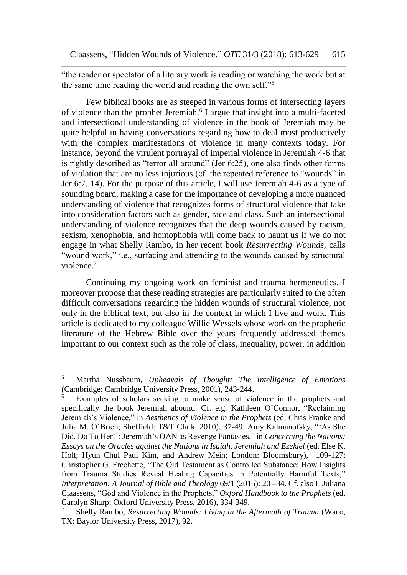"the reader or spectator of a literary work is reading or watching the work but at the same time reading the world and reading the own self."<sup>5</sup>

Few biblical books are as steeped in various forms of intersecting layers of violence than the prophet Jeremiah.<sup>6</sup> I argue that insight into a multi-faceted and intersectional understanding of violence in the book of Jeremiah may be quite helpful in having conversations regarding how to deal most productively with the complex manifestations of violence in many contexts today. For instance, beyond the virulent portrayal of imperial violence in Jeremiah 4-6 that is rightly described as "terror all around" (Jer 6:25), one also finds other forms of violation that are no less injurious (cf. the repeated reference to "wounds" in Jer 6:7, 14). For the purpose of this article, I will use Jeremiah 4-6 as a type of sounding board, making a case for the importance of developing a more nuanced understanding of violence that recognizes forms of structural violence that take into consideration factors such as gender, race and class. Such an intersectional understanding of violence recognizes that the deep wounds caused by racism, sexism, xenophobia, and homophobia will come back to haunt us if we do not engage in what Shelly Rambo, in her recent book *Resurrecting Wounds,* calls "wound work," i.e., surfacing and attending to the wounds caused by structural violence.<sup>7</sup>

Continuing my ongoing work on feminist and trauma hermeneutics, I moreover propose that these reading strategies are particularly suited to the often difficult conversations regarding the hidden wounds of structural violence, not only in the biblical text, but also in the context in which I live and work. This article is dedicated to my colleague Willie Wessels whose work on the prophetic literature of the Hebrew Bible over the years frequently addressed themes important to our context such as the role of class, inequality, power, in addition

l

<sup>5</sup> Martha Nussbaum, *Upheavals of Thought: The Intelligence of Emotions* (Cambridge: Cambridge University Press, 2001), 243-244.

Examples of scholars seeking to make sense of violence in the prophets and specifically the book Jeremiah abound. Cf. e.g. Kathleen O'Connor, "Reclaiming Jeremiah's Violence," in *Aesthetics of Violence in the Prophets* (ed. Chris Franke and Julia M. O'Brien; Sheffield: T&T Clark, 2010), 37-49; Amy Kalmanofsky, "'As She Did, Do To Her!': Jeremiah's OAN as Revenge Fantasies," in *Concerning the Nations: Essays on the Oracles against the Nations in Isaiah, Jeremiah and Ezekiel* (ed. Else K. Holt; Hyun Chul Paul Kim, and Andrew Mein; London: Bloomsbury), 109-127; Christopher G. Frechette, "The Old Testament as Controlled Substance: How Insights from Trauma Studies Reveal Healing Capacities in Potentially Harmful Texts," *Interpretation: A Journal of Bible and Theology* 69/1 (2015): 20 –34. Cf. also L Juliana Claassens, "God and Violence in the Prophets," *Oxford Handbook to the Prophets* (ed. Carolyn Sharp; Oxford University Press, 2016), 334-349.

<sup>7</sup> Shelly Rambo, *Resurrecting Wounds: Living in the Aftermath of Trauma* (Waco, TX: Baylor University Press, 2017), 92.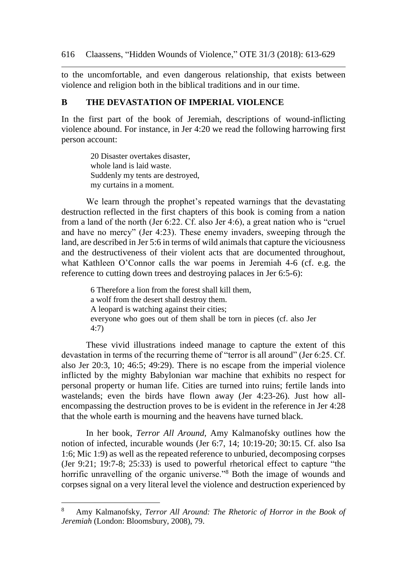to the uncomfortable, and even dangerous relationship, that exists between violence and religion both in the biblical traditions and in our time.

### **B THE DEVASTATION OF IMPERIAL VIOLENCE**

In the first part of the book of Jeremiah, descriptions of wound-inflicting violence abound. For instance, in Jer 4:20 we read the following harrowing first person account:

> 20 Disaster overtakes disaster, whole land is laid waste. Suddenly my tents are destroyed, my curtains in a moment.

We learn through the prophet's repeated warnings that the devastating destruction reflected in the first chapters of this book is coming from a nation from a land of the north (Jer 6:22. Cf. also Jer 4:6), a great nation who is "cruel and have no mercy" (Jer 4:23). These enemy invaders, sweeping through the land, are described in Jer 5:6 in terms of wild animals that capture the viciousness and the destructiveness of their violent acts that are documented throughout, what Kathleen O'Connor calls the war poems in Jeremiah 4-6 (cf. e.g. the reference to cutting down trees and destroying palaces in Jer 6:5-6):

> 6 Therefore a lion from the forest shall kill them, a wolf from the desert shall destroy them. A leopard is watching against their cities; everyone who goes out of them shall be torn in pieces (cf. also Jer 4:7)

These vivid illustrations indeed manage to capture the extent of this devastation in terms of the recurring theme of "terror is all around" (Jer 6:25. Cf. also Jer 20:3, 10; 46:5; 49:29). There is no escape from the imperial violence inflicted by the mighty Babylonian war machine that exhibits no respect for personal property or human life. Cities are turned into ruins; fertile lands into wastelands; even the birds have flown away (Jer 4:23-26). Just how allencompassing the destruction proves to be is evident in the reference in Jer 4:28 that the whole earth is mourning and the heavens have turned black.

In her book, *Terror All Around,* Amy Kalmanofsky outlines how the notion of infected, incurable wounds (Jer 6:7, 14; 10:19-20; 30:15. Cf. also Isa 1:6; Mic 1:9) as well as the repeated reference to unburied, decomposing corpses (Jer 9:21; 19:7-8; 25:33) is used to powerful rhetorical effect to capture "the horrific unravelling of the organic universe."<sup>8</sup> Both the image of wounds and corpses signal on a very literal level the violence and destruction experienced by

<sup>8</sup> Amy Kalmanofsky, *Terror All Around: The Rhetoric of Horror in the Book of Jeremiah* (London: Bloomsbury, 2008), 79.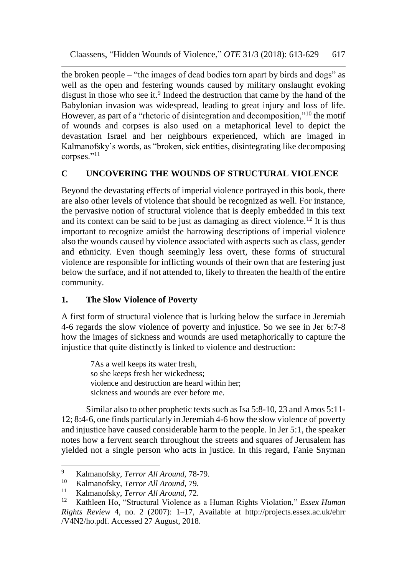the broken people – "the images of dead bodies torn apart by birds and dogs" as well as the open and festering wounds caused by military onslaught evoking disgust in those who see it.<sup>9</sup> Indeed the destruction that came by the hand of the Babylonian invasion was widespread, leading to great injury and loss of life. However, as part of a "rhetoric of disintegration and decomposition,"<sup>10</sup> the motif of wounds and corpses is also used on a metaphorical level to depict the devastation Israel and her neighbours experienced, which are imaged in Kalmanofsky's words, as "broken, sick entities, disintegrating like decomposing corpses."<sup>11</sup>

# **C UNCOVERING THE WOUNDS OF STRUCTURAL VIOLENCE**

Beyond the devastating effects of imperial violence portrayed in this book, there are also other levels of violence that should be recognized as well. For instance, the pervasive notion of structural violence that is deeply embedded in this text and its context can be said to be just as damaging as direct violence.<sup>12</sup> It is thus important to recognize amidst the harrowing descriptions of imperial violence also the wounds caused by violence associated with aspects such as class, gender and ethnicity. Even though seemingly less overt, these forms of structural violence are responsible for inflicting wounds of their own that are festering just below the surface, and if not attended to, likely to threaten the health of the entire community.

## **1. The Slow Violence of Poverty**

A first form of structural violence that is lurking below the surface in Jeremiah 4-6 regards the slow violence of poverty and injustice. So we see in Jer 6:7-8 how the images of sickness and wounds are used metaphorically to capture the injustice that quite distinctly is linked to violence and destruction:

> 7As a well keeps its water fresh, so she keeps fresh her wickedness; violence and destruction are heard within her; sickness and wounds are ever before me.

Similar also to other prophetic texts such as Isa 5:8-10, 23 and Amos 5:11- 12; 8:4-6, one finds particularly in Jeremiah 4-6 how the slow violence of poverty and injustice have caused considerable harm to the people. In Jer 5:1, the speaker notes how a fervent search throughout the streets and squares of Jerusalem has yielded not a single person who acts in justice. In this regard, Fanie Snyman

l <sup>9</sup> Kalmanofsky, *Terror All Around*, 78-79.

<sup>10</sup> Kalmanofsky, *Terror All Around*, 79.

<sup>11</sup> Kalmanofsky, *Terror All Around*, 72.

<sup>12</sup> Kathleen Ho, "Structural Violence as a Human Rights Violation," *Essex Human Rights Review* 4, no. 2 (2007): 1–17, Available at http://projects.essex.ac.uk/ehrr /V4N2/ho.pdf. Accessed 27 August, 2018.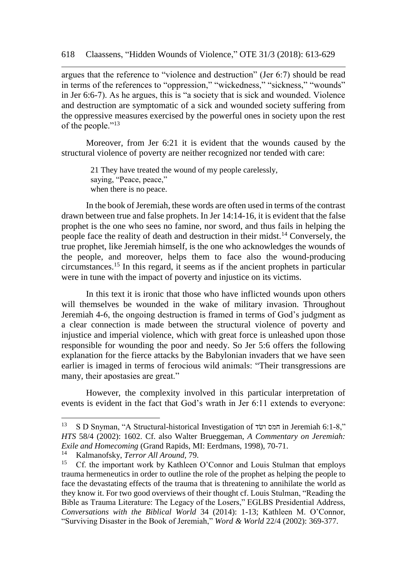argues that the reference to "violence and destruction" (Jer 6:7) should be read in terms of the references to "oppression," "wickedness," "sickness," "wounds" in Jer 6:6-7). As he argues, this is "a society that is sick and wounded. Violence and destruction are symptomatic of a sick and wounded society suffering from the oppressive measures exercised by the powerful ones in society upon the rest of the people."<sup>13</sup>

Moreover, from Jer 6:21 it is evident that the wounds caused by the structural violence of poverty are neither recognized nor tended with care:

> 21 They have treated the wound of my people carelessly, saying, "Peace, peace," when there is no peace.

In the book of Jeremiah, these words are often used in terms of the contrast drawn between true and false prophets. In Jer 14:14-16, it is evident that the false prophet is the one who sees no famine, nor sword, and thus fails in helping the people face the reality of death and destruction in their midst.<sup>14</sup> Conversely, the true prophet, like Jeremiah himself, is the one who acknowledges the wounds of the people, and moreover, helps them to face also the wound-producing circumstances.<sup>15</sup> In this regard, it seems as if the ancient prophets in particular were in tune with the impact of poverty and injustice on its victims.

In this text it is ironic that those who have inflicted wounds upon others will themselves be wounded in the wake of military invasion. Throughout Jeremiah 4-6, the ongoing destruction is framed in terms of God's judgment as a clear connection is made between the structural violence of poverty and injustice and imperial violence, which with great force is unleashed upon those responsible for wounding the poor and needy. So Jer 5:6 offers the following explanation for the fierce attacks by the Babylonian invaders that we have seen earlier is imaged in terms of ferocious wild animals: "Their transgressions are many, their apostasies are great."

However, the complexity involved in this particular interpretation of events is evident in the fact that God's wrath in Jer 6:11 extends to everyone:

l

<sup>13</sup> S D Snyman, "A Structural-historical Investigation of שדׂו חמס in Jeremiah 6:1-8," *HTS* 58/4 (2002): 1602. Cf. also Walter Brueggeman, *A Commentary on Jeremiah: Exile and Homecoming* (Grand Rapids, MI: Eerdmans, 1998), 70-71.

<sup>&</sup>lt;sup>14</sup> Kalmanofsky, *Terror All Around*, 79.

<sup>15</sup> Cf. the important work by Kathleen O'Connor and Louis Stulman that employs trauma hermeneutics in order to outline the role of the prophet as helping the people to face the devastating effects of the trauma that is threatening to annihilate the world as they know it. For two good overviews of their thought cf. Louis Stulman, "Reading the Bible as Trauma Literature: The Legacy of the Losers," EGLBS Presidential Address, *Conversations with the Biblical World* 34 (2014): 1-13; Kathleen M. O'Connor, "Surviving Disaster in the Book of Jeremiah," *Word & World* 22/4 (2002): 369-377.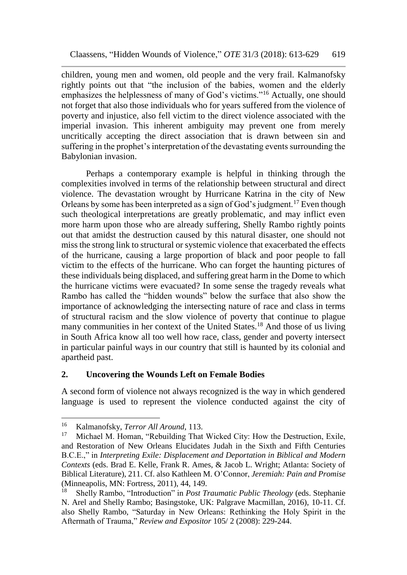children, young men and women, old people and the very frail. Kalmanofsky rightly points out that "the inclusion of the babies, women and the elderly emphasizes the helplessness of many of God's victims."<sup>16</sup> Actually, one should not forget that also those individuals who for years suffered from the violence of poverty and injustice, also fell victim to the direct violence associated with the imperial invasion. This inherent ambiguity may prevent one from merely uncritically accepting the direct association that is drawn between sin and suffering in the prophet's interpretation of the devastating events surrounding the Babylonian invasion.

Perhaps a contemporary example is helpful in thinking through the complexities involved in terms of the relationship between structural and direct violence. The devastation wrought by Hurricane Katrina in the city of New Orleans by some has been interpreted as a sign of God's judgment.<sup>17</sup> Even though such theological interpretations are greatly problematic, and may inflict even more harm upon those who are already suffering, Shelly Rambo rightly points out that amidst the destruction caused by this natural disaster, one should not miss the strong link to structural or systemic violence that exacerbated the effects of the hurricane, causing a large proportion of black and poor people to fall victim to the effects of the hurricane. Who can forget the haunting pictures of these individuals being displaced, and suffering great harm in the Dome to which the hurricane victims were evacuated? In some sense the tragedy reveals what Rambo has called the "hidden wounds" below the surface that also show the importance of acknowledging the intersecting nature of race and class in terms of structural racism and the slow violence of poverty that continue to plague many communities in her context of the United States.<sup>18</sup> And those of us living in South Africa know all too well how race, class, gender and poverty intersect in particular painful ways in our country that still is haunted by its colonial and apartheid past.

## **2. Uncovering the Wounds Left on Female Bodies**

A second form of violence not always recognized is the way in which gendered language is used to represent the violence conducted against the city of

<sup>16</sup> <sup>16</sup> Kalmanofsky, *Terror All Around*, 113.<br><sup>17</sup> Michael M. Homan "Pobuilding That

Michael M. Homan, "Rebuilding That Wicked City: How the Destruction, Exile, and Restoration of New Orleans Elucidates Judah in the Sixth and Fifth Centuries B.C.E.," in *Interpreting Exile: Displacement and Deportation in Biblical and Modern Contexts* (eds. Brad E. Kelle, Frank R. Ames, & Jacob L. Wright; Atlanta: Society of Biblical Literature), 211. Cf. also Kathleen M. O'Connor, *Jeremiah: Pain and Promise* (Minneapolis, MN: Fortress, 2011), 44, 149.<br><sup>18</sup> Shelly Bambo, "Introduction" in *Post T* 

<sup>18</sup> Shelly Rambo, "Introduction" in *Post Traumatic Public Theology* (eds. Stephanie N. Arel and Shelly Rambo; Basingstoke, UK: Palgrave Macmillan, 2016), 10-11. Cf. also Shelly Rambo, "Saturday in New Orleans: Rethinking the Holy Spirit in the Aftermath of Trauma," *Review and Expositor* 105/ 2 (2008): 229-244.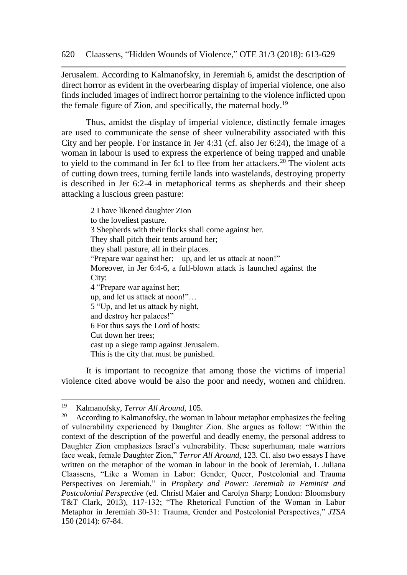Jerusalem. According to Kalmanofsky, in Jeremiah 6, amidst the description of direct horror as evident in the overbearing display of imperial violence, one also finds included images of indirect horror pertaining to the violence inflicted upon the female figure of Zion, and specifically, the maternal body.<sup>19</sup>

Thus, amidst the display of imperial violence, distinctly female images are used to communicate the sense of sheer vulnerability associated with this City and her people. For instance in Jer 4:31 (cf. also Jer 6:24), the image of a woman in labour is used to express the experience of being trapped and unable to yield to the command in Jer 6:1 to flee from her attackers.<sup>20</sup> The violent acts of cutting down trees, turning fertile lands into wastelands, destroying property is described in Jer 6:2-4 in metaphorical terms as shepherds and their sheep attacking a luscious green pasture:

> 2 I have likened daughter Zion to the loveliest pasture. 3 Shepherds with their flocks shall come against her. They shall pitch their tents around her; they shall pasture, all in their places. "Prepare war against her; up, and let us attack at noon!" Moreover, in Jer 6:4-6, a full-blown attack is launched against the City: 4 "Prepare war against her; up, and let us attack at noon!"… 5 "Up, and let us attack by night, and destroy her palaces!" 6 For thus says the Lord of hosts: Cut down her trees; cast up a siege ramp against Jerusalem. This is the city that must be punished.

It is important to recognize that among those the victims of imperial violence cited above would be also the poor and needy, women and children.

<sup>19</sup> <sup>19</sup> Kalmanofsky, *Terror All Around,* 105.

According to Kalmanofsky, the woman in labour metaphor emphasizes the feeling of vulnerability experienced by Daughter Zion. She argues as follow: "Within the context of the description of the powerful and deadly enemy, the personal address to Daughter Zion emphasizes Israel's vulnerability. These superhuman, male warriors face weak, female Daughter Zion," *Terror All Around,* 123. Cf. also two essays I have written on the metaphor of the woman in labour in the book of Jeremiah, L Juliana Claassens, "Like a Woman in Labor: Gender, Queer, Postcolonial and Trauma Perspectives on Jeremiah," in *Prophecy and Power: Jeremiah in Feminist and Postcolonial Perspective* (ed. Christl Maier and Carolyn Sharp; London: Bloomsbury T&T Clark, 2013), 117-132; "The Rhetorical Function of the Woman in Labor Metaphor in Jeremiah 30-31: Trauma, Gender and Postcolonial Perspectives," *JTSA* 150 (2014): 67-84.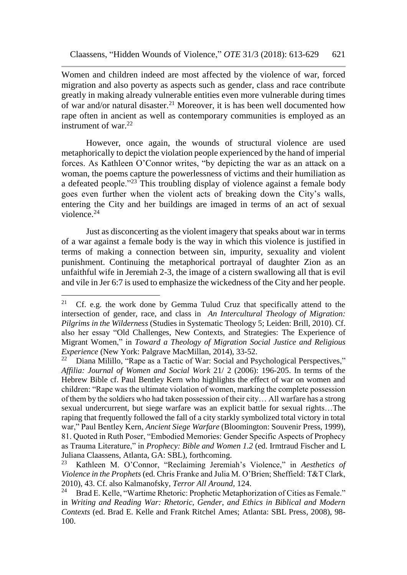Women and children indeed are most affected by the violence of war, forced migration and also poverty as aspects such as gender, class and race contribute greatly in making already vulnerable entities even more vulnerable during times of war and/or natural disaster.<sup>21</sup> Moreover, it is has been well documented how rape often in ancient as well as contemporary communities is employed as an instrument of war. $22$ 

However, once again, the wounds of structural violence are used metaphorically to depict the violation people experienced by the hand of imperial forces. As Kathleen O'Connor writes, "by depicting the war as an attack on a woman, the poems capture the powerlessness of victims and their humiliation as a defeated people."<sup>23</sup> This troubling display of violence against a female body goes even further when the violent acts of breaking down the City's walls, entering the City and her buildings are imaged in terms of an act of sexual violence<sup>24</sup>

Just as disconcerting as the violent imagery that speaks about war in terms of a war against a female body is the way in which this violence is justified in terms of making a connection between sin, impurity, sexuality and violent punishment. Continuing the metaphorical portrayal of daughter Zion as an unfaithful wife in Jeremiah 2-3, the image of a cistern swallowing all that is evil and vile in Jer 6:7 is used to emphasize the wickedness of the City and her people.

<sup>&</sup>lt;sup>21</sup> Cf. e.g. the work done by Gemma Tulud Cruz that specifically attend to the intersection of gender, race, and class in *An Intercultural Theology of Migration: Pilgrims in the Wilderness* [\(Studies in Systematic Theology](https://brill.com/view/serial/SIST) 5; Leiden: Brill, 2010). Cf. also her essay "Old Challenges, New Contexts, and Strategies: The Experience of Migrant Women," in *Toward a Theology of Migration Social Justice and Religious Experience* (New York: Palgrave MacMillan, 2014), 33-52.<br><sup>22</sup> Diana Milillo, "Papa as a Tastic of War: Social and Pa

Diana Milillo, "Rape as a Tactic of War: Social and Psychological Perspectives," *Affilia: Journal of Women and Social Work* 21/ 2 (2006): 196-205. In terms of the Hebrew Bible cf. Paul Bentley Kern who highlights the effect of war on women and children: "Rape was the ultimate violation of women, marking the complete possession of them by the soldiers who had taken possession of their city… All warfare has a strong sexual undercurrent, but siege warfare was an explicit battle for sexual rights…The raping that frequently followed the fall of a city starkly symbolized total victory in total war," Paul Bentley Kern, *Ancient Siege Warfare* (Bloomington: Souvenir Press, 1999), 81. Quoted in Ruth Poser, "Embodied Memories: Gender Specific Aspects of Prophecy as Trauma Literature," in *Prophecy: Bible and Women 1.2* (ed. Irmtraud Fischer and L Juliana Claassens, Atlanta, GA: SBL), forthcoming.<br><sup>23</sup> Kathleen M. O'Connor, "Reclaiming Jeremis

<sup>23</sup> Kathleen M. O'Connor, "Reclaiming Jeremiah's Violence," in *Aesthetics of Violence in the Prophets* (ed. Chris Franke and Julia M. O'Brien; Sheffield: T&T Clark, 2010), 43. Cf. also Kalmanofsky, *Terror All Around,* 124.

Brad E. Kelle, "Wartime Rhetoric: Prophetic Metaphorization of Cities as Female." in *Writing and Reading War: Rhetoric, Gender, and Ethics in Biblical and Modern Contexts* (ed. Brad E. Kelle and Frank Ritchel Ames; Atlanta: SBL Press, 2008), 98- 100.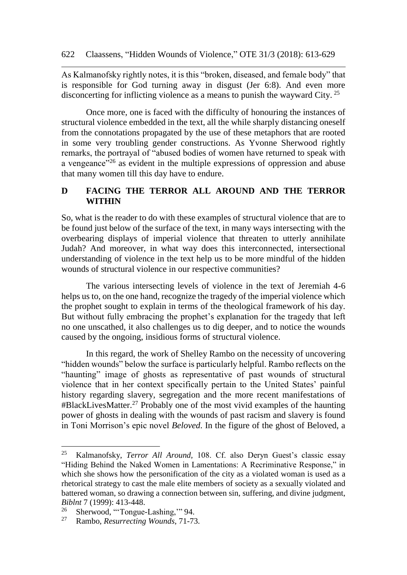As Kalmanofsky rightly notes, it is this "broken, diseased, and female body" that is responsible for God turning away in disgust (Jer 6:8). And even more disconcerting for inflicting violence as a means to punish the wayward City. <sup>25</sup>

Once more, one is faced with the difficulty of honouring the instances of structural violence embedded in the text, all the while sharply distancing oneself from the connotations propagated by the use of these metaphors that are rooted in some very troubling gender constructions. As Yvonne Sherwood rightly remarks, the portrayal of "abused bodies of women have returned to speak with a vengeance<sup>"26</sup> as evident in the multiple expressions of oppression and abuse that many women till this day have to endure.

## **D FACING THE TERROR ALL AROUND AND THE TERROR WITHIN**

So, what is the reader to do with these examples of structural violence that are to be found just below of the surface of the text, in many ways intersecting with the overbearing displays of imperial violence that threaten to utterly annihilate Judah? And moreover, in what way does this interconnected, intersectional understanding of violence in the text help us to be more mindful of the hidden wounds of structural violence in our respective communities?

The various intersecting levels of violence in the text of Jeremiah 4-6 helps us to, on the one hand, recognize the tragedy of the imperial violence which the prophet sought to explain in terms of the theological framework of his day. But without fully embracing the prophet's explanation for the tragedy that left no one unscathed, it also challenges us to dig deeper, and to notice the wounds caused by the ongoing, insidious forms of structural violence.

In this regard, the work of Shelley Rambo on the necessity of uncovering "hidden wounds" below the surface is particularly helpful. Rambo reflects on the "haunting" image of ghosts as representative of past wounds of structural violence that in her context specifically pertain to the United States' painful history regarding slavery, segregation and the more recent manifestations of #BlackLivesMatter. <sup>27</sup> Probably one of the most vivid examples of the haunting power of ghosts in dealing with the wounds of past racism and slavery is found in Toni Morrison's epic novel *Beloved*. In the figure of the ghost of Beloved, a

<sup>25</sup> <sup>25</sup> Kalmanofsky, *Terror All Around,* 108. Cf. also Deryn Guest's classic essay "Hiding Behind the Naked Women in Lamentations: A Recriminative Response," in which she shows how the personification of the city as a violated woman is used as a rhetorical strategy to cast the male elite members of society as a sexually violated and battered woman, so drawing a connection between sin, suffering, and divine judgment, *Biblnt* 7 (1999): 413-448.

<sup>&</sup>lt;sup>26</sup> Sherwood, "Tongue-Lashing," 94.<br><sup>27</sup> Rambo *Resurrecting Wounds*  $71-73$ 

<sup>27</sup> Rambo, *Resurrecting Wounds*, 71-73.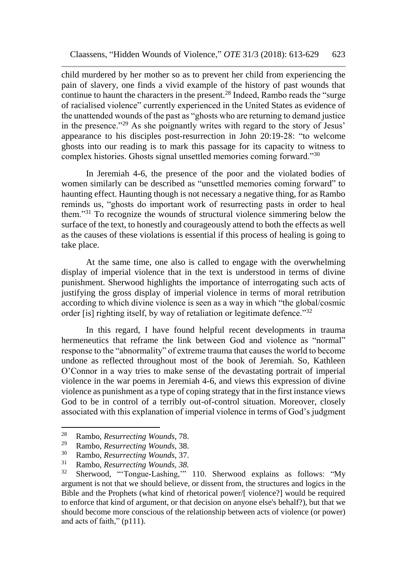child murdered by her mother so as to prevent her child from experiencing the pain of slavery, one finds a vivid example of the history of past wounds that continue to haunt the characters in the present.<sup>28</sup> Indeed, Rambo reads the "surge of racialised violence" currently experienced in the United States as evidence of the unattended wounds of the past as "ghosts who are returning to demand justice in the presence."<sup>29</sup> As she poignantly writes with regard to the story of Jesus' appearance to his disciples post-resurrection in John 20:19-28: "to welcome ghosts into our reading is to mark this passage for its capacity to witness to complex histories. Ghosts signal unsettled memories coming forward."<sup>30</sup>

In Jeremiah 4-6, the presence of the poor and the violated bodies of women similarly can be described as "unsettled memories coming forward" to haunting effect. Haunting though is not necessary a negative thing, for as Rambo reminds us, "ghosts do important work of resurrecting pasts in order to heal them."<sup>31</sup> To recognize the wounds of structural violence simmering below the surface of the text, to honestly and courageously attend to both the effects as well as the causes of these violations is essential if this process of healing is going to take place.

At the same time, one also is called to engage with the overwhelming display of imperial violence that in the text is understood in terms of divine punishment. Sherwood highlights the importance of interrogating such acts of justifying the gross display of imperial violence in terms of moral retribution according to which divine violence is seen as a way in which "the global/cosmic order [is] righting itself, by way of retaliation or legitimate defence."<sup>32</sup>

In this regard, I have found helpful recent developments in trauma hermeneutics that reframe the link between God and violence as "normal" response to the "abnormality" of extreme trauma that causes the world to become undone as reflected throughout most of the book of Jeremiah. So, Kathleen O'Connor in a way tries to make sense of the devastating portrait of imperial violence in the war poems in Jeremiah 4-6, and views this expression of divine violence as punishment as a type of coping strategy that in the first instance views God to be in control of a terribly out-of-control situation. Moreover, closely associated with this explanation of imperial violence in terms of God's judgment

<sup>28</sup> <sup>28</sup> Rambo, *Resurrecting Wounds,* 78.

<sup>29</sup> Rambo, *Resurrecting Wounds,* 38.

<sup>30</sup> Rambo, *Resurrecting Wounds,* 37.

<sup>&</sup>lt;sup>31</sup> Rambo, *Resurrecting Wounds*, 38.<br><sup>32</sup> Sherwood, "Tongue Lashing"

Sherwood, "Tongue-Lashing," 110. Sherwood explains as follows: "My argument is not that we should believe, or dissent from, the structures and logics in the Bible and the Prophets (what kind of rhetorical power/[ violence?] would be required to enforce that kind of argument, or that decision on anyone else's behalf?), but that we should become more conscious of the relationship between acts of violence (or power) and acts of faith," (p111).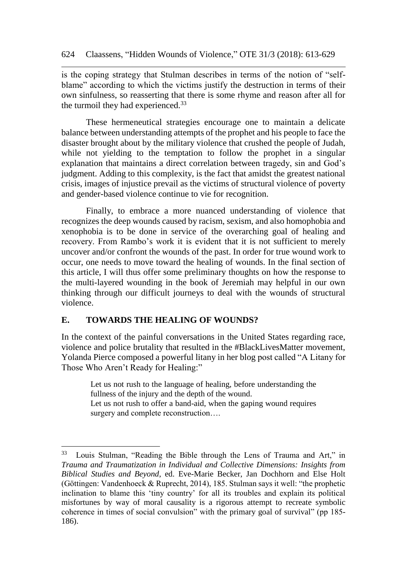is the coping strategy that Stulman describes in terms of the notion of "selfblame" according to which the victims justify the destruction in terms of their own sinfulness, so reasserting that there is some rhyme and reason after all for the turmoil they had experienced.<sup>33</sup>

These hermeneutical strategies encourage one to maintain a delicate balance between understanding attempts of the prophet and his people to face the disaster brought about by the military violence that crushed the people of Judah, while not yielding to the temptation to follow the prophet in a singular explanation that maintains a direct correlation between tragedy, sin and God's judgment. Adding to this complexity, is the fact that amidst the greatest national crisis, images of injustice prevail as the victims of structural violence of poverty and gender-based violence continue to vie for recognition.

Finally, to embrace a more nuanced understanding of violence that recognizes the deep wounds caused by racism, sexism, and also homophobia and xenophobia is to be done in service of the overarching goal of healing and recovery. From Rambo's work it is evident that it is not sufficient to merely uncover and/or confront the wounds of the past. In order for true wound work to occur, one needs to move toward the healing of wounds. In the final section of this article, I will thus offer some preliminary thoughts on how the response to the multi-layered wounding in the book of Jeremiah may helpful in our own thinking through our difficult journeys to deal with the wounds of structural violence.

#### **E. TOWARDS THE HEALING OF WOUNDS?**

 $\overline{a}$ 

In the context of the painful conversations in the United States regarding race, violence and police brutality that resulted in the #BlackLivesMatter movement, Yolanda Pierce composed a powerful litany in her blog post called "A Litany for Those Who Aren't Ready for Healing:"

Let us not rush to the language of healing, before understanding the fullness of the injury and the depth of the wound. Let us not rush to offer a band-aid, when the gaping wound requires surgery and complete reconstruction....

<sup>33</sup> Louis Stulman, "Reading the Bible through the Lens of Trauma and Art," in *Trauma and Traumatization in Individual and Collective Dimensions: Insights from Biblical Studies and Beyond*, ed. Eve-Marie Becker, Jan Dochhorn and Else Holt (Göttingen: Vandenhoeck & Ruprecht, 2014), 185. Stulman says it well: "the prophetic inclination to blame this 'tiny country' for all its troubles and explain its political misfortunes by way of moral causality is a rigorous attempt to recreate symbolic coherence in times of social convulsion" with the primary goal of survival" (pp 185- 186).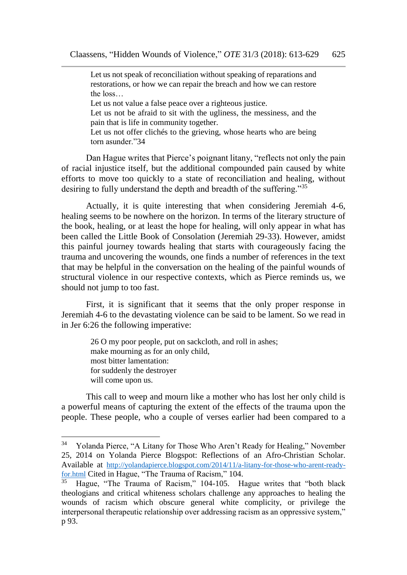Let us not speak of reconciliation without speaking of reparations and restorations, or how we can repair the breach and how we can restore the loss…

Let us not value a false peace over a righteous justice.

Let us not be afraid to sit with the ugliness, the messiness, and the pain that is life in community together.

Let us not offer clichés to the grieving, whose hearts who are being torn asunder "34

Dan Hague writes that Pierce's poignant litany, "reflects not only the pain of racial injustice itself, but the additional compounded pain caused by white efforts to move too quickly to a state of reconciliation and healing, without desiring to fully understand the depth and breadth of the suffering."<sup>35</sup>

Actually, it is quite interesting that when considering Jeremiah 4-6, healing seems to be nowhere on the horizon. In terms of the literary structure of the book, healing, or at least the hope for healing, will only appear in what has been called the Little Book of Consolation (Jeremiah 29-33). However, amidst this painful journey towards healing that starts with courageously facing the trauma and uncovering the wounds, one finds a number of references in the text that may be helpful in the conversation on the healing of the painful wounds of structural violence in our respective contexts, which as Pierce reminds us, we should not jump to too fast.

First, it is significant that it seems that the only proper response in Jeremiah 4-6 to the devastating violence can be said to be lament. So we read in in Jer 6:26 the following imperative:

> 26 O my poor people, put on sackcloth, and roll in ashes; make mourning as for an only child, most bitter lamentation: for suddenly the destroyer will come upon us.

 $\overline{a}$ 

This call to weep and mourn like a mother who has lost her only child is a powerful means of capturing the extent of the effects of the trauma upon the people. These people, who a couple of verses earlier had been compared to a

<sup>34</sup> Yolanda Pierce, "A Litany for Those Who Aren't Ready for Healing," November 25, 2014 on Yolanda Pierce Blogspot: Reflections of an Afro-Christian Scholar. Available at [http://yolandapierce.blogspot.com/2014/11/a-litany-for-those-who-arent-ready](http://yolandapierce.blogspot.com/2014/11/a-litany-for-those-who-arent-ready-for.html)[for.html](http://yolandapierce.blogspot.com/2014/11/a-litany-for-those-who-arent-ready-for.html) Cited in Hague, "The Trauma of Racism," 104.

Hague, "The Trauma of Racism," 104-105. Hague writes that "both black theologians and critical whiteness scholars challenge any approaches to healing the wounds of racism which obscure general white complicity, or privilege the interpersonal therapeutic relationship over addressing racism as an oppressive system," p 93.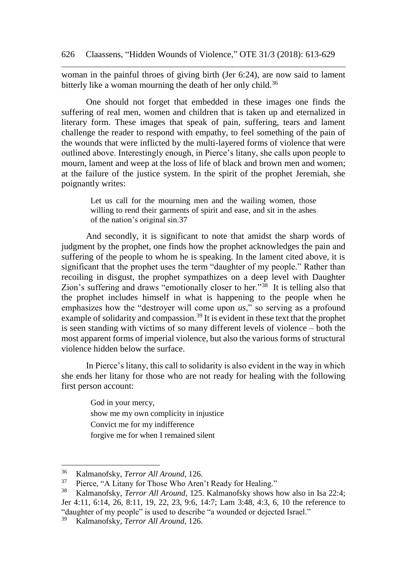woman in the painful throes of giving birth (Jer 6:24), are now said to lament bitterly like a woman mourning the death of her only child.<sup>36</sup>

One should not forget that embedded in these images one finds the suffering of real men, women and children that is taken up and eternalized in literary form. These images that speak of pain, suffering, tears and lament challenge the reader to respond with empathy, to feel something of the pain of the wounds that were inflicted by the multi-layered forms of violence that were outlined above. Interestingly enough, in Pierce's litany, she calls upon people to mourn, lament and weep at the loss of life of black and brown men and women; at the failure of the justice system. In the spirit of the prophet Jeremiah, she poignantly writes:

Let us call for the mourning men and the wailing women, those willing to rend their garments of spirit and ease, and sit in the ashes of the nation's original sin.37

And secondly, it is significant to note that amidst the sharp words of judgment by the prophet, one finds how the prophet acknowledges the pain and suffering of the people to whom he is speaking. In the lament cited above, it is significant that the prophet uses the term "daughter of my people." Rather than recoiling in disgust, the prophet sympathizes on a deep level with Daughter Zion's suffering and draws "emotionally closer to her."<sup>38</sup> It is telling also that the prophet includes himself in what is happening to the people when he emphasizes how the "destroyer will come upon *us*," so serving as a profound example of solidarity and compassion.<sup>39</sup> It is evident in these text that the prophet is seen standing with victims of so many different levels of violence – both the most apparent forms of imperial violence, but also the various forms of structural violence hidden below the surface.

In Pierce's litany, this call to solidarity is also evident in the way in which she ends her litany for those who are not ready for healing with the following first person account:

> God in your mercy, show me my own complicity in injustice Convict me for my indifference forgive me for when I remained silent

l

<sup>&</sup>lt;sup>36</sup> Kalmanofsky, *Terror All Around*, 126.<br><sup>37</sup> Pierce "A Litany for Those Who Aren

<sup>&</sup>lt;sup>37</sup> Pierce, "A Litany for Those Who Aren't Ready for Healing."<br><sup>38</sup> Kelmanofeky, Teyror All Around 125 Kelmanofeky shows 1

<sup>38</sup> Kalmanofsky, *Terror All Around,* 125. Kalmanofsky shows how also in Isa 22:4; Jer 4:11, 6:14, 26, 8:11, 19, 22, 23, 9:6, 14:7; Lam 3:48, 4:3, 6, 10 the reference to "daughter of my people" is used to describe "a wounded or dejected Israel."

<sup>39</sup> Kalmanofsky, *Terror All Around,* 126.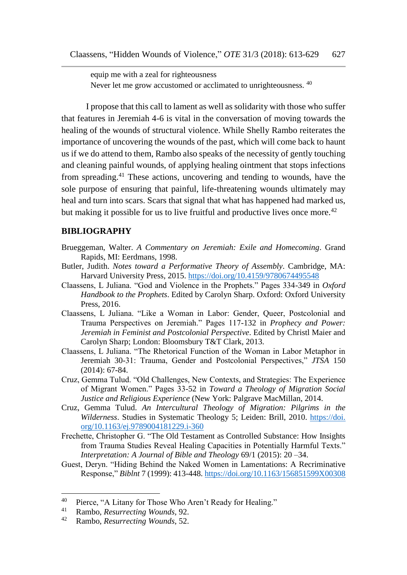equip me with a zeal for righteousness Never let me grow accustomed or acclimated to unrighteousness. <sup>40</sup>

I propose that this call to lament as well as solidarity with those who suffer that features in Jeremiah 4-6 is vital in the conversation of moving towards the healing of the wounds of structural violence. While Shelly Rambo reiterates the importance of uncovering the wounds of the past, which will come back to haunt us if we do attend to them, Rambo also speaks of the necessity of gently touching and cleaning painful wounds, of applying healing ointment that stops infections from spreading.<sup>41</sup> These actions, uncovering and tending to wounds, have the sole purpose of ensuring that painful, life-threatening wounds ultimately may heal and turn into scars. Scars that signal that what has happened had marked us, but making it possible for us to live fruitful and productive lives once more.<sup>42</sup>

#### **BIBLIOGRAPHY**

- Brueggeman, Walter. *A Commentary on Jeremiah: Exile and Homecoming*. Grand Rapids, MI: Eerdmans, 1998.
- Butler, Judith. *Notes toward a Performative Theory of Assembly*. Cambridge, MA: Harvard University Press, 2015. <https://doi.org/10.4159/9780674495548>
- Claassens, L Juliana. "God and Violence in the Prophets." Pages 334-349 in *Oxford Handbook to the Prophets*. Edited by Carolyn Sharp. Oxford: Oxford University Press, 2016.
- Claassens, L Juliana. "Like a Woman in Labor: Gender, Queer, Postcolonial and Trauma Perspectives on Jeremiah." Pages 117-132 in *Prophecy and Power: Jeremiah in Feminist and Postcolonial Perspective*. Edited by Christl Maier and Carolyn Sharp; London: Bloomsbury T&T Clark, 2013.
- Claassens, L Juliana. "The Rhetorical Function of the Woman in Labor Metaphor in Jeremiah 30-31: Trauma, Gender and Postcolonial Perspectives," *JTSA* 150 (2014): 67-84.
- Cruz, Gemma Tulud. "Old Challenges, New Contexts, and Strategies: The Experience of Migrant Women." Pages 33-52 in *Toward a Theology of Migration Social Justice and Religious Experience* (New York: Palgrave MacMillan, 2014.
- Cruz, Gemma Tulud. *An Intercultural Theology of Migration: Pilgrims in the Wilderness*. [Studies in Systematic Theology](https://brill.com/view/serial/SIST) 5; Leiden: Brill, 2010. https://doi. org/10.1163/ej.9789004181229.i-360
- Frechette, Christopher G. "The Old Testament as Controlled Substance: How Insights from Trauma Studies Reveal Healing Capacities in Potentially Harmful Texts." *Interpretation: A Journal of Bible and Theology* 69/1 (2015): 20 –34.
- Guest, Deryn. "Hiding Behind the Naked Women in Lamentations: A Recriminative Response," *Biblnt* 7 (1999): 413-448. <https://doi.org/10.1163/156851599X00308>

<sup>&</sup>lt;sup>40</sup> Pierce, "A Litany for Those Who Aren't Ready for Healing."<br><sup>41</sup> Pembe *Pesurmeting Wounds*, 02

<sup>41</sup> Rambo, *Resurrecting Wounds,* 92.

<sup>42</sup> Rambo, *Resurrecting Wounds*, 52.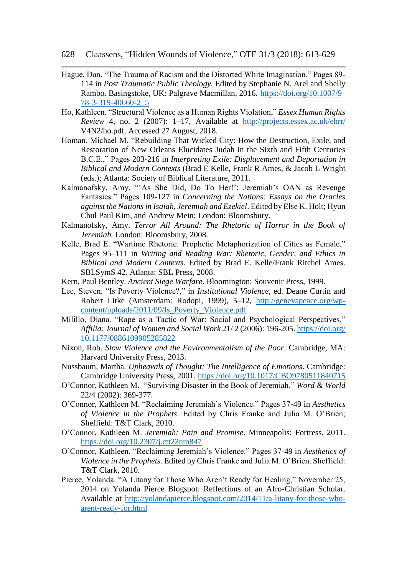628 Claassens, "Hidden Wounds of Violence," OTE 31/3 (2018): 613-629

- Hague, Dan. "The Trauma of Racism and the Distorted White Imagination." Pages 89- 114 in *Post Traumatic Public Theology.* Edited by Stephanie N. Arel and Shelly Rambo. Basingstoke, UK: Palgrave Macmillan, 2016. [https://doi.org/10.1007/9](https://doi.org/10.1007/9%2078-3-319-40660-2_5)  [78-3-319-40660-2\\_5](https://doi.org/10.1007/9%2078-3-319-40660-2_5)
- Ho, Kathleen. "Structural Violence as a Human Rights Violation," *Essex Human Rights Review* 4, no. 2 (2007): 1–17, Available at <http://projects.essex.ac.uk/ehrr/> V4N2/ho.pdf. Accessed 27 August, 2018.
- Homan, Michael M. "Rebuilding That Wicked City: How the Destruction, Exile, and Restoration of New Orleans Elucidates Judah in the Sixth and Fifth Centuries B.C.E.," Pages 203-216 in *Interpreting Exile: Displacement and Deportation in Biblical and Modern Contexts* (Brad E Kelle, Frank R Ames, & Jacob L Wright (eds.); Atlanta: Society of Biblical Literature, 2011.
- Kalmanofsky, Amy. "'As She Did, Do To Her!': Jeremiah's OAN as Revenge Fantasies." Pages 109-127 in *Concerning the Nations: Essays on the Oracles against the Nations in Isaiah, Jeremiah and Ezekiel*. Edited by Else K. Holt; Hyun Chul Paul Kim, and Andrew Mein; London: Bloomsbury.
- Kalmanofsky, Amy. *Terror All Around: The Rhetoric of Horror in the Book of Jeremiah.* London: Bloomsbury, 2008.
- Kelle, Brad E. "Wartime Rhetoric: Prophetic Metaphorization of Cities as Female." Pages 95–111 in *Writing and Reading War: Rhetoric, Gender, and Ethics in Biblical and Modern Contexts.* Edited by Brad E. Kelle/Frank Ritchel Ames. SBLSymS 42. Atlanta: SBL Press, 2008.
- Kern, Paul Bentley. *Ancient Siege Warfare*. Bloomington: Souvenir Press, 1999.
- Lee, Steven. "Is Poverty Violence?," in *Institutional Violence*, ed. Deane Curtin and Robert Litke (Amsterdam: Rodopi, 1999), 5–12, [http://genevapeace.org/wp](http://genevapeace.org/wp-content/uploads/2011/09/Is_Poverty_Violence.pdf)[content/uploads/2011/09/Is\\_Poverty\\_Violence.pdf](http://genevapeace.org/wp-content/uploads/2011/09/Is_Poverty_Violence.pdf)
- Milillo, Diana. "Rape as a Tactic of War: Social and Psychological Perspectives," *Affilia: Journal of Women and Social Work* 21/ 2 (2006): 196-205[. https://doi.org/](https://doi.org/%2010.1177/0886109905285822)  [10.1177/0886109905285822](https://doi.org/%2010.1177/0886109905285822)
- Nixon, Rob. *Slow Violence and the Environmentalism of the Poor*. Cambridge, MA: Harvard University Press, 2013.
- Nussbaum, Martha. *Upheavals of Thought: The Intelligence of Emotions*. Cambridge: Cambridge University Press, 2001.<https://doi.org/10.1017/CBO9780511840715>
- O'Connor, Kathleen M. "Surviving Disaster in the Book of Jeremiah," *Word & World* 22/4 (2002): 369-377.
- O'Connor, Kathleen M. "Reclaiming Jeremiah's Violence." Pages 37-49 in *Aesthetics of Violence in the Prophets*. Edited by Chris Franke and Julia M. O'Brien; Sheffield: T&T Clark, 2010.
- O'Connor, Kathleen M. *Jeremiah: Pain and Promise.* Minneapolis: Fortress, 2011. <https://doi.org/10.2307/j.ctt22nm847>
- O'Connor, Kathleen. "Reclaiming Jeremiah's Violence." Pages 37-49 in *Aesthetics of Violence in the Prophets.* Edited by Chris Franke and Julia M. O'Brien. Sheffield: T&T Clark, 2010.
- Pierce, Yolanda. "A Litany for Those Who Aren't Ready for Healing," November 25, 2014 on Yolanda Pierce Blogspot: Reflections of an Afro-Christian Scholar. Available at [http://yolandapierce.blogspot.com/2014/11/a-litany-for-those-who](http://yolandapierce.blogspot.com/2014/11/a-litany-for-those-who-arent-ready-for.html)[arent-ready-for.html](http://yolandapierce.blogspot.com/2014/11/a-litany-for-those-who-arent-ready-for.html)